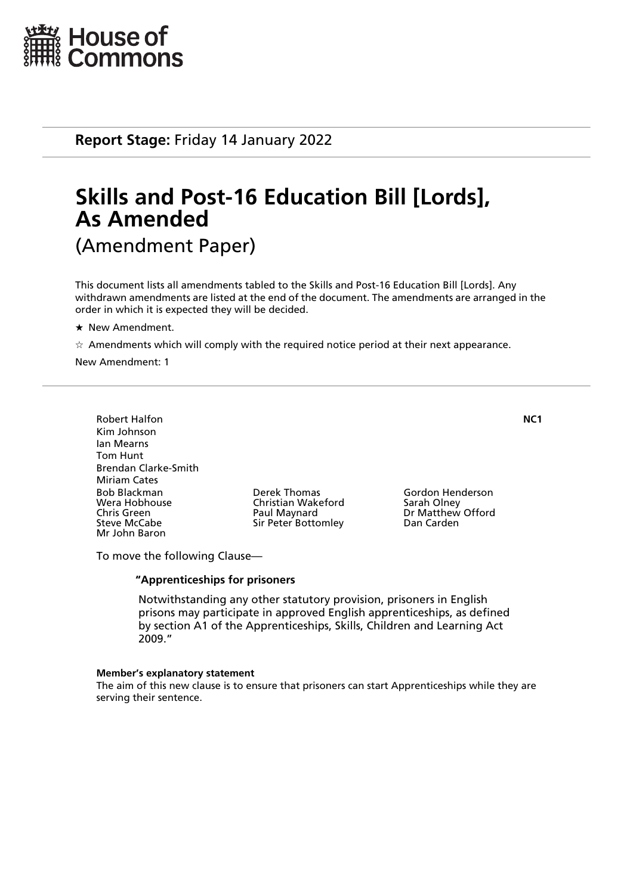

**Report Stage:** Friday 14 January 2022

# **Skills and Post-16 Education Bill [Lords], As Amended** (Amendment Paper)

This document lists all amendments tabled to the Skills and Post-16 Education Bill [Lords]. Any withdrawn amendments are listed at the end of the document. The amendments are arranged in the order in which it is expected they will be decided.

\* New Amendment.

 $\dot{\varphi}$  Amendments which will comply with the required notice period at their next appearance.

New Amendment: 1

Robert Halfon **NC1** Kim Johnson Ian Mearns Tom Hunt Brendan Clarke-Smith Miriam Cates Bob Blackman Derek Thomas Gordon Henderson Wera Hobhouse Christian Wakeford<br>
Chris Green Christian Olave Paul Maynard Chris Green **Paul Maynard** Dr Matthew Offord<br>
Sir Peter Bottomley Dan Carden<br>
Dan Carden Mr John Baron

Sir Peter Bottomley

To move the following Clause—

## **"Apprenticeships for prisoners**

 Notwithstanding any other statutory provision, prisoners in English prisons may participate in approved English apprenticeships, as defined by section A1 of the Apprenticeships, Skills, Children and Learning Act 2009."

#### **Member's explanatory statement**

The aim of this new clause is to ensure that prisoners can start Apprenticeships while they are serving their sentence.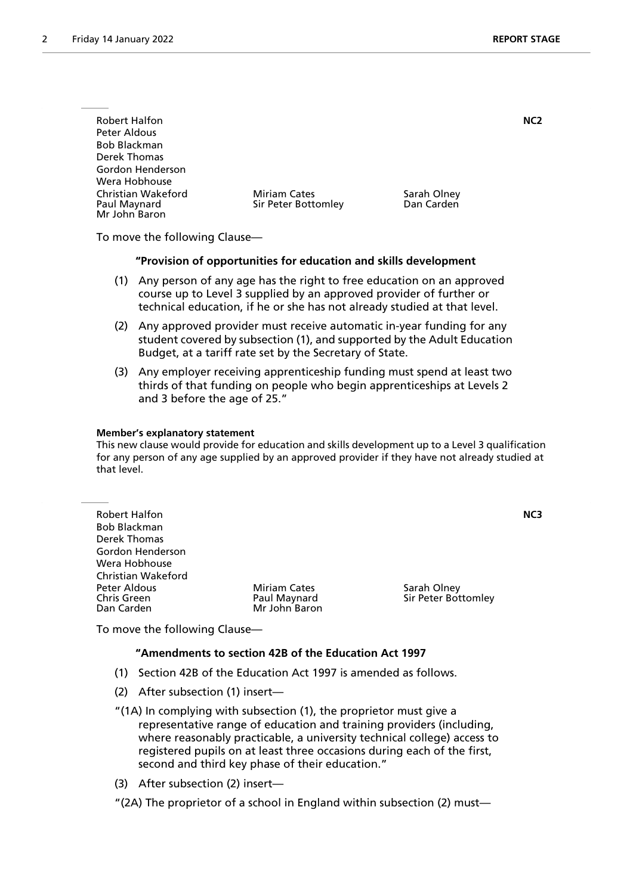| <b>Robert Halfon</b> |                     |             | NC2 |
|----------------------|---------------------|-------------|-----|
| Peter Aldous         |                     |             |     |
| <b>Bob Blackman</b>  |                     |             |     |
| Derek Thomas         |                     |             |     |
| Gordon Henderson     |                     |             |     |
| Wera Hobhouse        |                     |             |     |
| Christian Wakeford   | <b>Miriam Cates</b> | Sarah Olney |     |
| Paul Maynard         | Sir Peter Bottomley | Dan Carden  |     |
| Mr John Baron        |                     |             |     |

To move the following Clause—

#### **"Provision of opportunities for education and skills development**

- (1) Any person of any age has the right to free education on an approved course up to Level 3 supplied by an approved provider of further or technical education, if he or she has not already studied at that level.
- (2) Any approved provider must receive automatic in-year funding for any student covered by subsection (1), and supported by the Adult Education Budget, at a tariff rate set by the Secretary of State.
- (3) Any employer receiving apprenticeship funding must spend at least two thirds of that funding on people who begin apprenticeships at Levels 2 and 3 before the age of 25."

#### **Member's explanatory statement**

This new clause would provide for education and skills development up to a Level 3 qualification for any person of any age supplied by an approved provider if they have not already studied at that level.

|                     | NC3                 |
|---------------------|---------------------|
|                     |                     |
|                     |                     |
|                     |                     |
|                     |                     |
|                     |                     |
| <b>Miriam Cates</b> | Sarah Olney         |
| Paul Maynard        | Sir Peter Bottomley |
|                     |                     |
|                     | Mr John Baron       |

To move the following Clause—

#### **"Amendments to section 42B of the Education Act 1997**

- (1) Section 42B of the Education Act 1997 is amended as follows.
- (2) After subsection (1) insert—
- "(1A) In complying with subsection (1), the proprietor must give a representative range of education and training providers (including, where reasonably practicable, a university technical college) access to registered pupils on at least three occasions during each of the first, second and third key phase of their education."
- (3) After subsection (2) insert—
- "(2A) The proprietor of a school in England within subsection (2) must—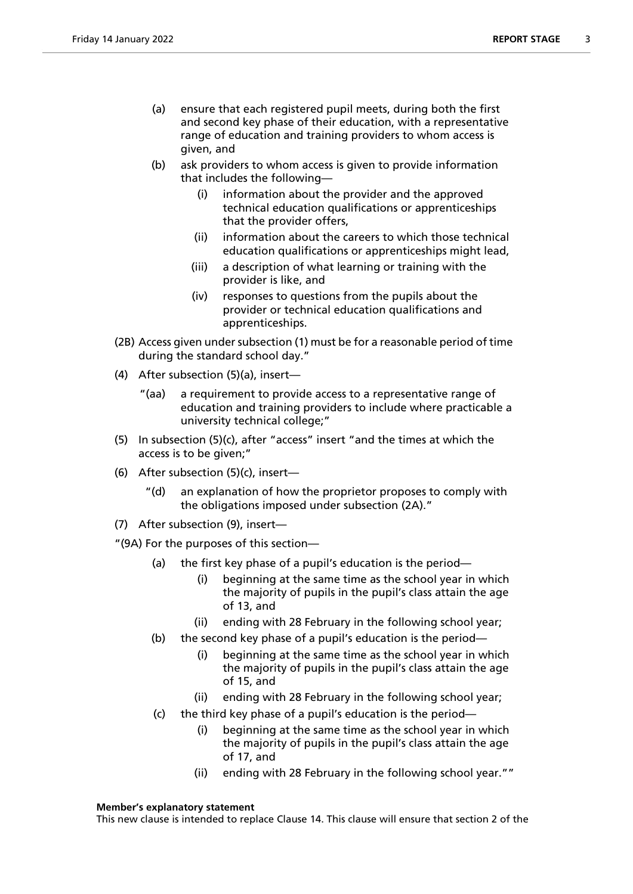- (a) ensure that each registered pupil meets, during both the first and second key phase of their education, with a representative range of education and training providers to whom access is given, and
- (b) ask providers to whom access is given to provide information that includes the following—
	- (i) information about the provider and the approved technical education qualifications or apprenticeships that the provider offers,
	- (ii) information about the careers to which those technical education qualifications or apprenticeships might lead,
	- (iii) a description of what learning or training with the provider is like, and
	- (iv) responses to questions from the pupils about the provider or technical education qualifications and apprenticeships.
- (2B) Access given under subsection (1) must be for a reasonable period of time during the standard school day."
- (4) After subsection (5)(a), insert—
	- "(aa) a requirement to provide access to a representative range of education and training providers to include where practicable a university technical college;"
- (5) In subsection (5)(c), after "access" insert "and the times at which the access is to be given;"
- (6) After subsection (5)(c), insert—
	- "(d) an explanation of how the proprietor proposes to comply with the obligations imposed under subsection (2A)."
- (7) After subsection (9), insert—

"(9A) For the purposes of this section—

- (a) the first key phase of a pupil's education is the period—
	- (i) beginning at the same time as the school year in which the majority of pupils in the pupil's class attain the age of 13, and
	- (ii) ending with 28 February in the following school year;
- (b) the second key phase of a pupil's education is the period—
	- (i) beginning at the same time as the school year in which the majority of pupils in the pupil's class attain the age of 15, and
	- (ii) ending with 28 February in the following school year;
- (c) the third key phase of a pupil's education is the period—
	- (i) beginning at the same time as the school year in which the majority of pupils in the pupil's class attain the age of 17, and
	- (ii) ending with 28 February in the following school year.""

#### **Member's explanatory statement**

This new clause is intended to replace Clause 14. This clause will ensure that section 2 of the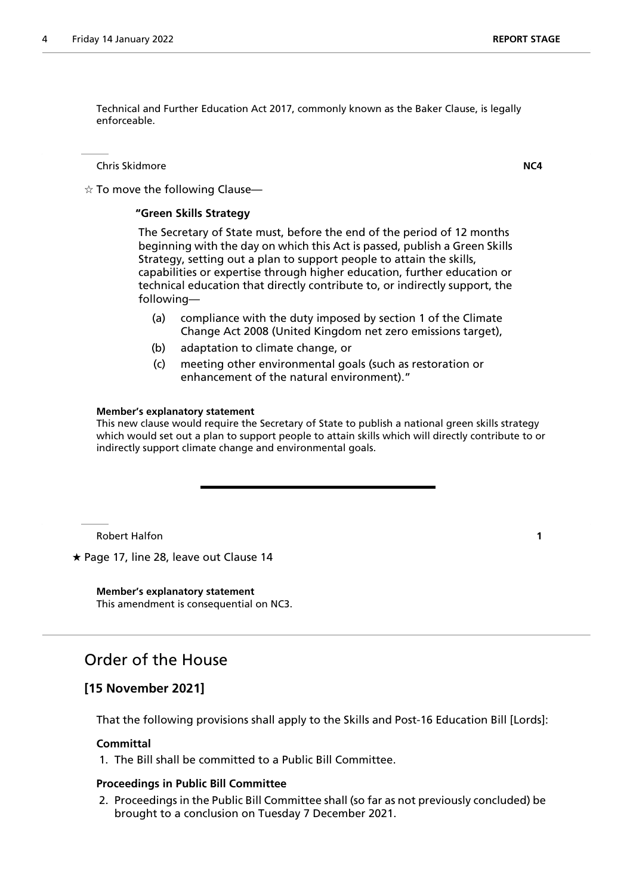Technical and Further Education Act 2017, commonly known as the Baker Clause, is legally enforceable.

Chris Skidmore **NC4**

 $\dot{\varphi}$  To move the following Clause—

## **"Green Skills Strategy**

 The Secretary of State must, before the end of the period of 12 months beginning with the day on which this Act is passed, publish a Green Skills Strategy, setting out a plan to support people to attain the skills, capabilities or expertise through higher education, further education or technical education that directly contribute to, or indirectly support, the following—

- (a) compliance with the duty imposed by section 1 of the Climate Change Act 2008 (United Kingdom net zero emissions target),
- (b) adaptation to climate change, or
- (c) meeting other environmental goals (such as restoration or enhancement of the natural environment)."

#### **Member's explanatory statement**

This new clause would require the Secretary of State to publish a national green skills strategy which would set out a plan to support people to attain skills which will directly contribute to or indirectly support climate change and environmental goals.

Robert Halfon **1**

 $\star$  Page 17, line 28, leave out Clause 14

**Member's explanatory statement** This amendment is consequential on NC3.

# Order of the House

# **[15 November 2021]**

That the following provisions shall apply to the Skills and Post-16 Education Bill [Lords]:

#### **Committal**

1. The Bill shall be committed to a Public Bill Committee.

#### **Proceedings in Public Bill Committee**

2. Proceedings in the Public Bill Committee shall (so far as not previously concluded) be brought to a conclusion on Tuesday 7 December 2021.